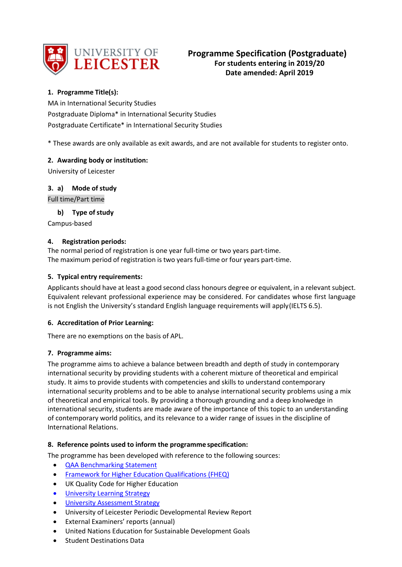

# **1. Programme Title(s):**

MA in International Security Studies Postgraduate Diploma\* in International Security Studies Postgraduate Certificate\* in International Security Studies

\* These awards are only available as exit awards, and are not available for students to register onto.

## **2. Awarding body or institution:**

University of Leicester

## **3. a) Mode of study**

Full time/Part time

## **b)** Type of study

Campus-based

## **4. Registration periods:**

The normal period of registration is one year full-time or two years part-time. The maximum period of registration is two years full-time or four years part-time.

## **5. Typical entry requirements:**

Applicants should have at least a good second class honours degree or equivalent, in a relevant subject. Equivalent relevant professional experience may be considered. For candidates whose first language is not English the University's standard English language requirements will apply(IELTS 6.5).

## **6. Accreditation of Prior Learning:**

There are no exemptions on the basis of APL.

## **7. Programme aims:**

The programme aims to achieve a balance between breadth and depth of study in contemporary international security by providing students with a coherent mixture of theoretical and empirical study. It aims to provide students with competencies and skills to understand contemporary international security problems and to be able to analyse international security problems using a mix of theoretical and empirical tools. By providing a thorough grounding and a deep knolwedge in international security, students are made aware of the importance of this topic to an understanding of contemporary world politics, and its relevance to a wider range of issues in the discipline of International Relations.

## **8. Reference points used to inform the programme specification:**

The programme has been developed with reference to the following sources:

- [QAA Benchmarking Statement](http://www.qaa.ac.uk/Publications/InformationAndGuidance/Documents/politics.pdf)
- [Framework for Higher Education Qualifications \(FHEQ\)](http://www.qaa.ac.uk/en/Publications/Documents/qualifications-%20frameworks.pdf)
- UK Quality Code for Higher Education
- University Learnin[g Strategy](https://www2.le.ac.uk/offices/sas2/quality/learnteach)
- [University Assessment Strategy](https://www2.le.ac.uk/offices/sas2/quality/learnteach)
- University of Leicester Periodic Developmental Review Report
- External Examiners' reports (annual)
- United Nations Education for Sustainable Development Goals
- Student Destinations Data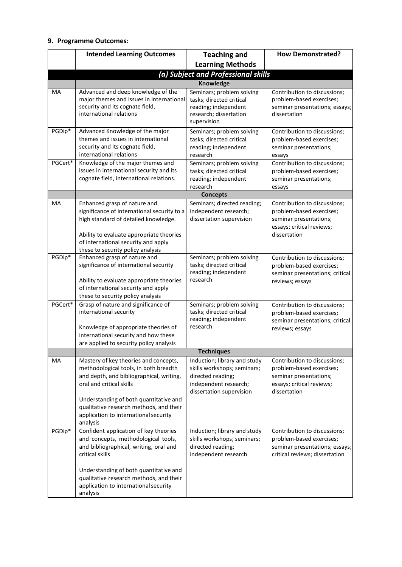## **9. Programme Outcomes:**

|         | <b>Intended Learning Outcomes</b>                                                                                                                                                                                                                                                                | <b>Teaching and</b>                                                                                                                   | <b>How Demonstrated?</b>                                                                                                        |  |  |
|---------|--------------------------------------------------------------------------------------------------------------------------------------------------------------------------------------------------------------------------------------------------------------------------------------------------|---------------------------------------------------------------------------------------------------------------------------------------|---------------------------------------------------------------------------------------------------------------------------------|--|--|
|         |                                                                                                                                                                                                                                                                                                  | <b>Learning Methods</b>                                                                                                               |                                                                                                                                 |  |  |
|         | (a) Subject and Professional skills                                                                                                                                                                                                                                                              |                                                                                                                                       |                                                                                                                                 |  |  |
|         | Knowledge                                                                                                                                                                                                                                                                                        |                                                                                                                                       |                                                                                                                                 |  |  |
| MA      | Advanced and deep knowledge of the<br>major themes and issues in international<br>security and its cognate field,<br>international relations                                                                                                                                                     | Seminars; problem solving<br>tasks; directed critical<br>reading; independent<br>research; dissertation<br>supervision                | Contribution to discussions;<br>problem-based exercises;<br>seminar presentations; essays;<br>dissertation                      |  |  |
| PGDip*  | Advanced Knowledge of the major<br>themes and issues in international<br>security and its cognate field,<br>international relations                                                                                                                                                              | Seminars; problem solving<br>tasks; directed critical<br>reading; independent<br>research                                             | Contribution to discussions;<br>problem-based exercises;<br>seminar presentations;<br>essays                                    |  |  |
| PGCert* | Knowledge of the major themes and<br>issues in international security and its<br>cognate field, international relations.                                                                                                                                                                         | Seminars; problem solving<br>tasks; directed critical<br>reading; independent<br>research                                             | Contribution to discussions;<br>problem-based exercises;<br>seminar presentations;<br>essays                                    |  |  |
|         |                                                                                                                                                                                                                                                                                                  | <b>Concepts</b>                                                                                                                       |                                                                                                                                 |  |  |
| MA      | Enhanced grasp of nature and<br>significance of international security to a<br>high standard of detailed knowledge.<br>Ability to evaluate appropriate theories<br>of international security and apply<br>these to security policy analysis                                                      | Seminars; directed reading;<br>independent research;<br>dissertation supervision                                                      | Contribution to discussions;<br>problem-based exercises;<br>seminar presentations;<br>essays; critical reviews;<br>dissertation |  |  |
| PGDip*  | Enhanced grasp of nature and<br>significance of international security<br>Ability to evaluate appropriate theories<br>of international security and apply<br>these to security policy analysis                                                                                                   | Seminars; problem solving<br>tasks; directed critical<br>reading; independent<br>research                                             | Contribution to discussions;<br>problem-based exercises;<br>seminar presentations; critical<br>reviews; essays                  |  |  |
| PGCert* | Grasp of nature and significance of<br>international security<br>Knowledge of appropriate theories of<br>international security and how these<br>are applied to security policy analysis                                                                                                         | Seminars; problem solving<br>tasks; directed critical<br>reading; independent<br>research                                             | Contribution to discussions;<br>problem-based exercises;<br>seminar presentations; critical<br>reviews; essays                  |  |  |
|         |                                                                                                                                                                                                                                                                                                  | Techniques                                                                                                                            |                                                                                                                                 |  |  |
| MA      | Mastery of key theories and concepts,<br>methodological tools, in both breadth<br>and depth, and bibliographical, writing,<br>oral and critical skills<br>Understanding of both quantitative and<br>qualitative research methods, and their<br>application to international security<br>analysis | Induction; library and study<br>skills workshops; seminars;<br>directed reading;<br>independent research;<br>dissertation supervision | Contribution to discussions;<br>problem-based exercises;<br>seminar presentations;<br>essays; critical reviews;<br>dissertation |  |  |
| PGDip*  | Confident application of key theories<br>and concepts, methodological tools,<br>and bibliographical, writing, oral and<br>critical skills<br>Understanding of both quantitative and<br>qualitative research methods, and their<br>application to international security<br>analysis              | Induction; library and study<br>skills workshops; seminars;<br>directed reading;<br>independent research                              | Contribution to discussions;<br>problem-based exercises;<br>seminar presentations; essays;<br>critical reviews; dissertation    |  |  |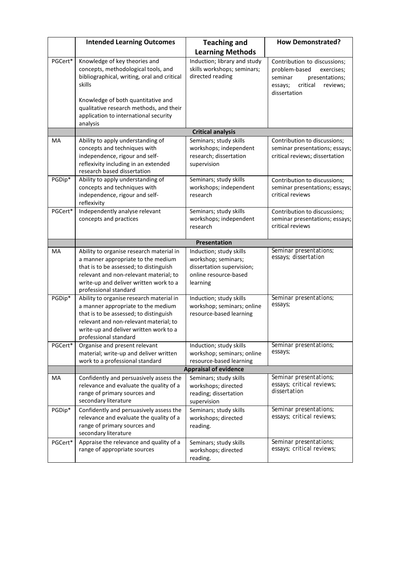|         | <b>Intended Learning Outcomes</b>                                                                                                                                                                                                                       | <b>Teaching and</b>                                                                                              | <b>How Demonstrated?</b>                                                                                                                    |  |
|---------|---------------------------------------------------------------------------------------------------------------------------------------------------------------------------------------------------------------------------------------------------------|------------------------------------------------------------------------------------------------------------------|---------------------------------------------------------------------------------------------------------------------------------------------|--|
|         |                                                                                                                                                                                                                                                         | <b>Learning Methods</b>                                                                                          |                                                                                                                                             |  |
| PGCert* | Knowledge of key theories and<br>concepts, methodological tools, and<br>bibliographical, writing, oral and critical<br>skills<br>Knowledge of both quantitative and<br>qualitative research methods, and their<br>application to international security | Induction; library and study<br>skills workshops; seminars;<br>directed reading                                  | Contribution to discussions;<br>problem-based<br>exercises;<br>seminar<br>presentations;<br>critical<br>reviews;<br>essays;<br>dissertation |  |
|         | analysis                                                                                                                                                                                                                                                | <b>Critical analysis</b>                                                                                         |                                                                                                                                             |  |
| МA      | Ability to apply understanding of<br>concepts and techniques with<br>independence, rigour and self-<br>reflexivity including in an extended<br>research based dissertation                                                                              | Seminars; study skills<br>workshops; independent<br>research; dissertation<br>supervision                        | Contribution to discussions;<br>seminar presentations; essays;<br>critical reviews; dissertation                                            |  |
| PGDip*  | Ability to apply understanding of<br>concepts and techniques with<br>independence, rigour and self-<br>reflexivity                                                                                                                                      | Seminars; study skills<br>workshops; independent<br>research                                                     | Contribution to discussions;<br>seminar presentations; essays;<br>critical reviews                                                          |  |
| PGCert* | Independently analyse relevant<br>concepts and practices                                                                                                                                                                                                | Seminars; study skills<br>workshops; independent<br>research                                                     | Contribution to discussions;<br>seminar presentations; essays;<br>critical reviews                                                          |  |
|         | Presentation                                                                                                                                                                                                                                            |                                                                                                                  |                                                                                                                                             |  |
| MA      | Ability to organise research material in<br>a manner appropriate to the medium<br>that is to be assessed; to distinguish<br>relevant and non-relevant material; to<br>write-up and deliver written work to a<br>professional standard                   | Induction; study skills<br>workshop; seminars;<br>dissertation supervision;<br>online resource-based<br>learning | Seminar presentations;<br>essays; dissertation                                                                                              |  |
| PGDip*  | Ability to organise research material in<br>a manner appropriate to the medium<br>that is to be assessed; to distinguish<br>relevant and non-relevant material; to<br>write-up and deliver written work to a<br>professional standard                   | Induction; study skills<br>workshop; seminars; online<br>resource-based learning                                 | Seminar presentations;<br>essays;                                                                                                           |  |
| PGCert* | Organise and present relevant<br>material; write-up and deliver written<br>work to a professional standard                                                                                                                                              | Induction; study skills<br>workshop; seminars; online<br>resource-based learning                                 | Seminar presentations;<br>essays;                                                                                                           |  |
|         | <b>Appraisal of evidence</b>                                                                                                                                                                                                                            |                                                                                                                  |                                                                                                                                             |  |
| MA      | Confidently and persuasively assess the<br>relevance and evaluate the quality of a<br>range of primary sources and<br>secondary literature                                                                                                              | Seminars; study skills<br>workshops; directed<br>reading; dissertation<br>supervision                            | Seminar presentations;<br>essays; critical reviews;<br>dissertation                                                                         |  |
| PGDip*  | Confidently and persuasively assess the<br>relevance and evaluate the quality of a<br>range of primary sources and<br>secondary literature                                                                                                              | Seminars; study skills<br>workshops; directed<br>reading.                                                        | Seminar presentations;<br>essays; critical reviews;                                                                                         |  |
| PGCert* | Appraise the relevance and quality of a<br>range of appropriate sources                                                                                                                                                                                 | Seminars; study skills<br>workshops; directed<br>reading.                                                        | Seminar presentations;<br>essays; critical reviews;                                                                                         |  |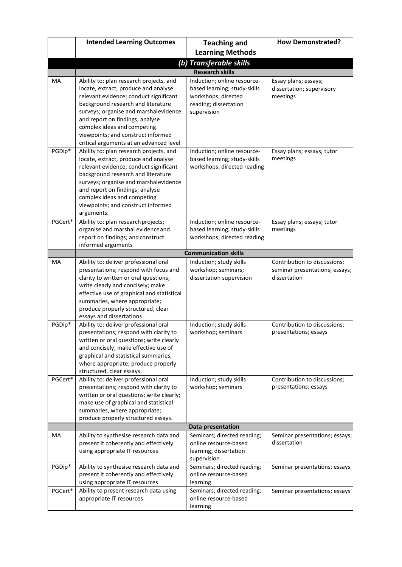|         | <b>Intended Learning Outcomes</b>                                                                                                                                                                                                                                                                                                                           | <b>Teaching and</b>                                                                                                        | <b>How Demonstrated?</b>                                                       |  |
|---------|-------------------------------------------------------------------------------------------------------------------------------------------------------------------------------------------------------------------------------------------------------------------------------------------------------------------------------------------------------------|----------------------------------------------------------------------------------------------------------------------------|--------------------------------------------------------------------------------|--|
|         |                                                                                                                                                                                                                                                                                                                                                             | <b>Learning Methods</b>                                                                                                    |                                                                                |  |
|         | (b) Transferable skills                                                                                                                                                                                                                                                                                                                                     |                                                                                                                            |                                                                                |  |
|         | <b>Research skills</b>                                                                                                                                                                                                                                                                                                                                      |                                                                                                                            |                                                                                |  |
| MA      | Ability to: plan research projects, and<br>locate, extract, produce and analyse<br>relevant evidence; conduct significant<br>background research and literature<br>surveys; organise and marshalevidence<br>and report on findings; analyse<br>complex ideas and competing<br>viewpoints; and construct informed<br>critical arguments at an advanced level | Induction; online resource-<br>based learning; study-skills<br>workshops; directed<br>reading; dissertation<br>supervision | Essay plans; essays;<br>dissertation; supervisory<br>meetings                  |  |
| PGDip*  | Ability to: plan research projects, and<br>locate, extract, produce and analyse<br>relevant evidence; conduct significant<br>background research and literature<br>surveys; organise and marshalevidence<br>and report on findings; analyse<br>complex ideas and competing<br>viewpoints; and construct informed<br>arguments.                              | Induction; online resource-<br>based learning; study-skills<br>workshops; directed reading                                 | Essay plans; essays; tutor<br>meetings                                         |  |
| PGCert* | Ability to: plan research projects;<br>organise and marshal evidence and<br>report on findings; and construct<br>informed arguments                                                                                                                                                                                                                         | Induction; online resource-<br>based learning; study-skills<br>workshops; directed reading                                 | Essay plans; essays; tutor<br>meetings                                         |  |
|         |                                                                                                                                                                                                                                                                                                                                                             | <b>Communication skills</b>                                                                                                |                                                                                |  |
| MA      | Ability to: deliver professional oral<br>presentations; respond with focus and<br>clarity to written or oral questions;<br>write clearly and concisely; make<br>effective use of graphical and statistical<br>summaries, where appropriate;<br>produce properly structured, clear<br>essays and dissertations                                               | Induction; study skills<br>workshop; seminars;<br>dissertation supervision                                                 | Contribution to discussions;<br>seminar presentations; essays;<br>dissertation |  |
| PGDip*  | Ability to: deliver professional oral<br>presentations; respond with clarity to<br>written or oral questions; write clearly<br>and concisely; make effective use of<br>graphical and statistical summaries,<br>where appropriate; produce properly<br>structured, clear essays.                                                                             | Induction; study skills<br>workshop; seminars                                                                              | Contribution to discussions;<br>presentations; essays                          |  |
| PGCert* | Ability to: deliver professional oral<br>presentations; respond with clarity to<br>written or oral questions; write clearly;<br>make use of graphical and statistical<br>summaries, where appropriate;<br>produce properly structured essays.                                                                                                               | Induction; study skills<br>workshop; seminars                                                                              | Contribution to discussions;<br>presentations; essays                          |  |
|         | Data presentation                                                                                                                                                                                                                                                                                                                                           |                                                                                                                            |                                                                                |  |
| MA      | Ability to synthesise research data and<br>present it coherently and effectively<br>using appropriate IT resources                                                                                                                                                                                                                                          | Seminars; directed reading;<br>online resource-based<br>learning; dissertation<br>supervision                              | Seminar presentations; essays;<br>dissertation                                 |  |
| PGDip*  | Ability to synthesise research data and<br>present it coherently and effectively<br>using appropriate IT resources                                                                                                                                                                                                                                          | Seminars; directed reading;<br>online resource-based<br>learning                                                           | Seminar presentations; essays                                                  |  |
| PGCert* | Ability to present research data using<br>appropriate IT resources                                                                                                                                                                                                                                                                                          | Seminars; directed reading;<br>online resource-based<br>learning                                                           | Seminar presentations; essays                                                  |  |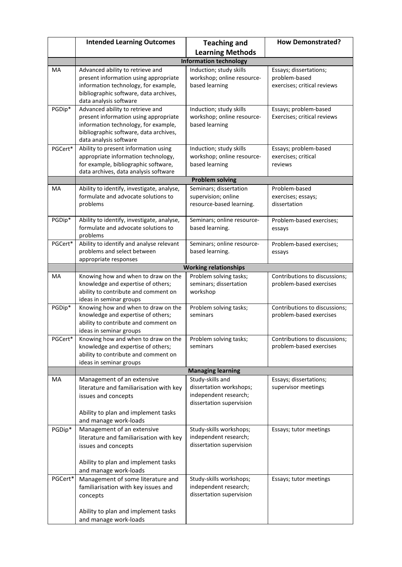|         | <b>Intended Learning Outcomes</b>                                           | <b>Teaching and</b>                          | <b>How Demonstrated?</b>       |  |
|---------|-----------------------------------------------------------------------------|----------------------------------------------|--------------------------------|--|
|         |                                                                             | <b>Learning Methods</b>                      |                                |  |
|         |                                                                             | <b>Information technology</b>                |                                |  |
| MA      | Advanced ability to retrieve and                                            | Induction; study skills                      | Essays; dissertations;         |  |
|         | present information using appropriate                                       | workshop; online resource-                   | problem-based                  |  |
|         | information technology, for example,                                        | based learning                               | exercises; critical reviews    |  |
|         | bibliographic software, data archives,<br>data analysis software            |                                              |                                |  |
| PGDip*  | Advanced ability to retrieve and                                            | Induction; study skills                      | Essays; problem-based          |  |
|         | present information using appropriate                                       | workshop; online resource-                   | Exercises; critical reviews    |  |
|         | information technology, for example,                                        | based learning                               |                                |  |
|         | bibliographic software, data archives,                                      |                                              |                                |  |
|         | data analysis software                                                      |                                              |                                |  |
| PGCert* | Ability to present information using                                        | Induction; study skills                      | Essays; problem-based          |  |
|         | appropriate information technology,<br>for example, bibliographic software, | workshop; online resource-<br>based learning | exercises; critical<br>reviews |  |
|         | data archives, data analysis software                                       |                                              |                                |  |
|         |                                                                             | <b>Problem solving</b>                       |                                |  |
| MA      | Ability to identify, investigate, analyse,                                  | Seminars; dissertation                       | Problem-based                  |  |
|         | formulate and advocate solutions to                                         | supervision; online                          | exercises; essays;             |  |
|         | problems                                                                    | resource-based learning.                     | dissertation                   |  |
| PGDip*  | Ability to identify, investigate, analyse,                                  | Seminars; online resource-                   | Problem-based exercises;       |  |
|         | formulate and advocate solutions to                                         | based learning.                              | essays                         |  |
|         | problems                                                                    |                                              |                                |  |
| PGCert* | Ability to identify and analyse relevant                                    | Seminars; online resource-                   | Problem-based exercises;       |  |
|         | problems and select between                                                 | based learning.                              | essays                         |  |
|         | appropriate responses                                                       | <b>Working relationships</b>                 |                                |  |
| MA      | Knowing how and when to draw on the                                         | Problem solving tasks;                       | Contributions to discussions;  |  |
|         | knowledge and expertise of others;                                          | seminars; dissertation                       | problem-based exercises        |  |
|         | ability to contribute and comment on                                        | workshop                                     |                                |  |
|         | ideas in seminar groups                                                     |                                              |                                |  |
| PGDip*  | Knowing how and when to draw on the                                         | Problem solving tasks;                       | Contributions to discussions;  |  |
|         | knowledge and expertise of others;<br>ability to contribute and comment on  | seminars                                     | problem-based exercises        |  |
|         | ideas in seminar groups                                                     |                                              |                                |  |
| PGCert* | Knowing how and when to draw on the Problem solving tasks;                  |                                              | Contributions to discussions;  |  |
|         | knowledge and expertise of others;                                          | seminars                                     | problem-based exercises        |  |
|         | ability to contribute and comment on                                        |                                              |                                |  |
|         | ideas in seminar groups                                                     |                                              |                                |  |
| MA      |                                                                             | <b>Managing learning</b><br>Study-skills and | Essays; dissertations;         |  |
|         | Management of an extensive<br>literature and familiarisation with key       | dissertation workshops;                      | supervisor meetings            |  |
|         | issues and concepts                                                         | independent research;                        |                                |  |
|         |                                                                             | dissertation supervision                     |                                |  |
|         | Ability to plan and implement tasks                                         |                                              |                                |  |
|         | and manage work-loads                                                       |                                              |                                |  |
| PGDip*  | Management of an extensive                                                  | Study-skills workshops;                      | Essays; tutor meetings         |  |
|         | literature and familiarisation with key                                     | independent research;                        |                                |  |
|         | issues and concepts                                                         | dissertation supervision                     |                                |  |
|         | Ability to plan and implement tasks                                         |                                              |                                |  |
|         | and manage work-loads                                                       |                                              |                                |  |
| PGCert* | Management of some literature and                                           | Study-skills workshops;                      | Essays; tutor meetings         |  |
|         | familiarisation with key issues and                                         | independent research;                        |                                |  |
|         | concepts                                                                    | dissertation supervision                     |                                |  |
|         |                                                                             |                                              |                                |  |
|         | Ability to plan and implement tasks                                         |                                              |                                |  |
|         | and manage work-loads                                                       |                                              |                                |  |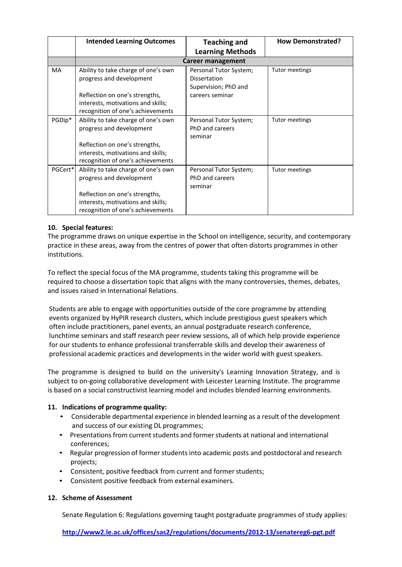|         | <b>Intended Learning Outcomes</b>   | <b>Teaching and</b><br><b>Learning Methods</b> | <b>How Demonstrated?</b> |  |
|---------|-------------------------------------|------------------------------------------------|--------------------------|--|
|         |                                     |                                                |                          |  |
|         | <b>Career management</b>            |                                                |                          |  |
| MA      | Ability to take charge of one's own | Personal Tutor System;                         | Tutor meetings           |  |
|         | progress and development            | <b>Dissertation</b>                            |                          |  |
|         |                                     | Supervision; PhD and                           |                          |  |
|         | Reflection on one's strengths,      | careers seminar                                |                          |  |
|         | interests, motivations and skills;  |                                                |                          |  |
|         | recognition of one's achievements   |                                                |                          |  |
| PGDip*  | Ability to take charge of one's own | Personal Tutor System;                         | <b>Tutor meetings</b>    |  |
|         | progress and development            | PhD and careers                                |                          |  |
|         |                                     | seminar                                        |                          |  |
|         | Reflection on one's strengths,      |                                                |                          |  |
|         | interests, motivations and skills;  |                                                |                          |  |
|         | recognition of one's achievements   |                                                |                          |  |
| PGCert* | Ability to take charge of one's own | Personal Tutor System;                         | Tutor meetings           |  |
|         | progress and development            | PhD and careers                                |                          |  |
|         |                                     | seminar                                        |                          |  |
|         | Reflection on one's strengths,      |                                                |                          |  |
|         | interests, motivations and skills;  |                                                |                          |  |
|         | recognition of one's achievements   |                                                |                          |  |

## **10. Special features:**

The programme draws on unique expertise in the School on intelligence, security, and contemporary practice in these areas, away from the centres of power that often distorts programmes in other institutions.

To reflect the special focus of the MA programme, students taking this programme will be required to choose a dissertation topic that aligns with the many controversies, themes, debates, and issues raised in International Relations.

Students are able to engage with opportunities outside of the core programme by attending events organized by HyPIR research clusters, which include prestigious guest speakers which often include practitioners, panel events, an annual postgraduate research conference, lunchtime seminars and staff research peer review sessions, all of which help provide experience for our students to enhance professional transferrable skills and develop their awareness of professional academic practices and developments in the wider world with guest speakers.

The programme is designed to build on the university's Learning Innovation Strategy, and is subject to on-going collaborative development with Leicester Learning Institute. The programme is based on a social constructivist learning model and includes blended learning environments.

## **11. Indications of programme quality:**

- Considerable departmental experience in blended learning as a result of the development and success of our existing DL programmes;
- Presentations from current students and former students at national and international conferences;
- Regular progression of former students into academic posts and postdoctoral and research projects;
- Consistent, positive feedback from current and former students;
- Consistent positive feedback from external examiners.

## **12. Scheme of Assessment**

Senate Regulation 6: Regulations governing taught postgraduate programmes of study applies:

**<http://www2.le.ac.uk/offices/sas2/regulations/documents/2012-13/senatereg6-pgt.pdf>**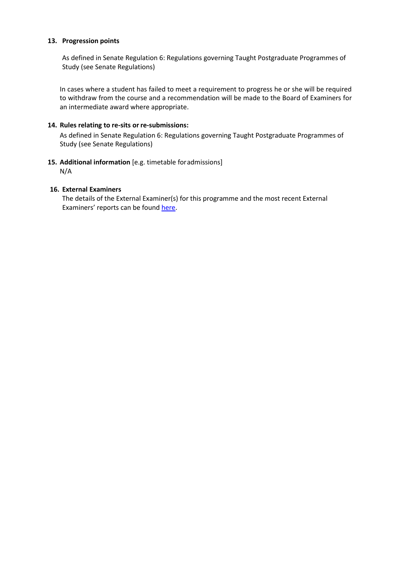## **13. Progression points**

As defined in Senate Regulation 6: Regulations governing Taught Postgraduate Programmes of Study (see Senate Regulations)

In cases where a student has failed to meet a requirement to progress he or she will be required to withdraw from the course and a recommendation will be made to the Board of Examiners for an intermediate award where appropriate.

## **14. Rules relating to re-sits or re-submissions:**

As defined in Senate Regulation 6: Regulations governing Taught Postgraduate Programmes of Study (see Senate Regulations)

# **15. Additional information** [e.g. timetable foradmissions]

N/A

## **16. External Examiners**

The details of the External Examiner(s) for this programme and the most recent External Examiners' reports can be found [here.](https://exampapers.le.ac.uk/xmlui/handle/123456789/227)